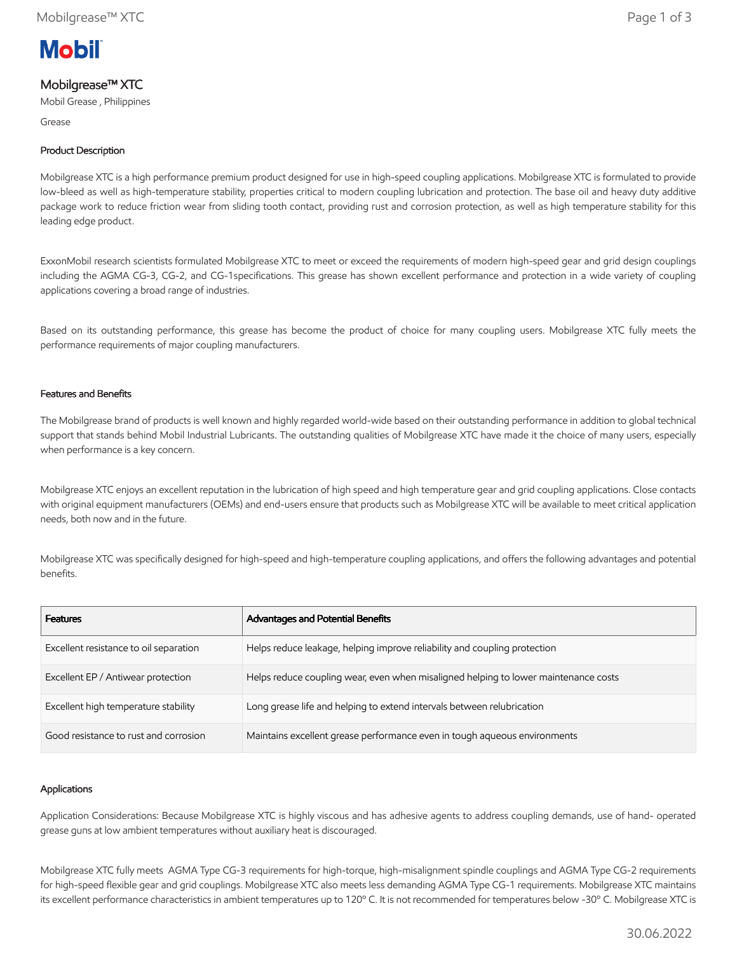

# Mobilgrease™ XTC

Mobil Grease , Philippines

Grease

## Product Description

Mobilgrease XTC is a high performance premium product designed for use in high-speed coupling applications. Mobilgrease XTC is formulated to provide low-bleed as well as high-temperature stability, properties critical to modern coupling lubrication and protection. The base oil and heavy duty additive package work to reduce friction wear from sliding tooth contact, providing rust and corrosion protection, as well as high temperature stability for this leading edge product.

ExxonMobil research scientists formulated Mobilgrease XTC to meet or exceed the requirements of modern high-speed gear and grid design couplings including the AGMA CG-3, CG-2, and CG-1specifications. This grease has shown excellent performance and protection in a wide variety of coupling applications covering a broad range of industries.

Based on its outstanding performance, this grease has become the product of choice for many coupling users. Mobilgrease XTC fully meets the performance requirements of major coupling manufacturers.

### Features and Benefits

The Mobilgrease brand of products is well known and highly regarded world-wide based on their outstanding performance in addition to global technical support that stands behind Mobil Industrial Lubricants. The outstanding qualities of Mobilgrease XTC have made it the choice of many users, especially when performance is a key concern.

Mobilgrease XTC enjoys an excellent reputation in the lubrication of high speed and high temperature gear and grid coupling applications. Close contacts with original equipment manufacturers (OEMs) and end-users ensure that products such as Mobilgrease XTC will be available to meet critical application needs, both now and in the future.

Mobilgrease XTC was specifically designed for high-speed and high-temperature coupling applications, and offers the following advantages and potential benefits.

| <b>Features</b>                        | Advantages and Potential Benefits                                                   |
|----------------------------------------|-------------------------------------------------------------------------------------|
| Excellent resistance to oil separation | Helps reduce leakage, helping improve reliability and coupling protection           |
| Excellent EP / Antiwear protection     | Helps reduce coupling wear, even when misaligned helping to lower maintenance costs |
| Excellent high temperature stability   | Long grease life and helping to extend intervals between relubrication              |
| Good resistance to rust and corrosion  | Maintains excellent grease performance even in tough aqueous environments           |

#### Applications

Application Considerations: Because Mobilgrease XTC is highly viscous and has adhesive agents to address coupling demands, use of hand- operated grease guns at low ambient temperatures without auxiliary heat is discouraged.

Mobilgrease XTC fully meets AGMA Type CG-3 requirements for high-torque, high-misalignment spindle couplings and AGMA Type CG-2 requirements for high-speed flexible gear and grid couplings. Mobilgrease XTC also meets less demanding AGMA Type CG-1 requirements. Mobilgrease XTC maintains its excellent performance characteristics in ambient temperatures up to 120º C. It is not recommended for temperatures below -30º C. Mobilgrease XTC is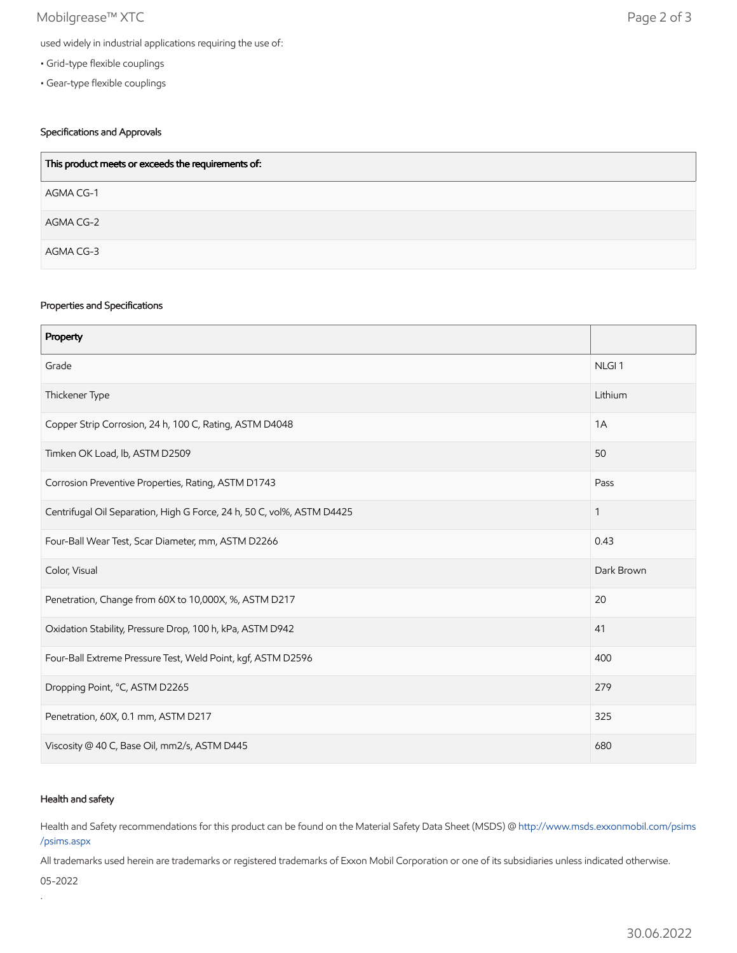## Mobilgrease™ XTC Page 2 of 3

- Grid-type flexible couplings
- Gear-type flexible couplings

## Specifications and Approvals

| This product meets or exceeds the requirements of: |  |
|----------------------------------------------------|--|
| AGMA CG-1                                          |  |
| AGMA CG-2                                          |  |
| AGMA CG-3                                          |  |

#### Properties and Specifications

| Property                                                               |                   |
|------------------------------------------------------------------------|-------------------|
| Grade                                                                  | NLGI <sub>1</sub> |
| Thickener Type                                                         | Lithium           |
| Copper Strip Corrosion, 24 h, 100 C, Rating, ASTM D4048                | 1A                |
| Timken OK Load, lb, ASTM D2509                                         | 50                |
| Corrosion Preventive Properties, Rating, ASTM D1743                    | Pass              |
| Centrifugal Oil Separation, High G Force, 24 h, 50 C, vol%, ASTM D4425 | $\mathbf{1}$      |
| Four-Ball Wear Test, Scar Diameter, mm, ASTM D2266                     | 0.43              |
| Color, Visual                                                          | Dark Brown        |
| Penetration, Change from 60X to 10,000X, %, ASTM D217                  | 20                |
| Oxidation Stability, Pressure Drop, 100 h, kPa, ASTM D942              | 41                |
| Four-Ball Extreme Pressure Test, Weld Point, kgf, ASTM D2596           | 400               |
| Dropping Point, °C, ASTM D2265                                         | 279               |
| Penetration, 60X, 0.1 mm, ASTM D217                                    | 325               |
| Viscosity @ 40 C, Base Oil, mm2/s, ASTM D445                           | 680               |

### Health and safety

Health and Safety recommendations for this product can be found on the Material Safety Data Sheet (MSDS) @ [http://www.msds.exxonmobil.com/psims](http://www.msds.exxonmobil.com/psims/psims.aspx) /psims.aspx

All trademarks used herein are trademarks or registered trademarks of Exxon Mobil Corporation or one of its subsidiaries unless indicated otherwise.

05-2022

.